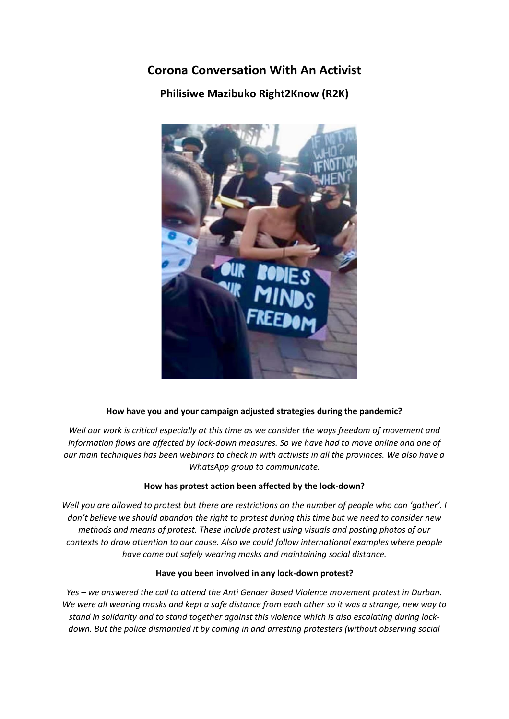## **Corona Conversation With An Activist**

**Philisiwe Mazibuko Right2Know (R2K)**



## **How have you and your campaign adjusted strategies during the pandemic?**

*Well our work is critical especially at this time as we consider the ways freedom of movement and information flows are affected by lock-down measures. So we have had to move online and one of our main techniques has been webinars to check in with activists in all the provinces. We also have a WhatsApp group to communicate.*

## **How has protest action been affected by the lock-down?**

*Well you are allowed to protest but there are restrictions on the number of people who can 'gather'. I don't believe we should abandon the right to protest during this time but we need to consider new methods and means of protest. These include protest using visuals and posting photos of our contexts to draw attention to our cause. Also we could follow international examples where people have come out safely wearing masks and maintaining social distance.*

## **Have you been involved in any lock-down protest?**

*Yes – we answered the call to attend the Anti Gender Based Violence movement protest in Durban. We were all wearing masks and kept a safe distance from each other so it was a strange, new way to stand in solidarity and to stand together against this violence which is also escalating during lockdown. But the police dismantled it by coming in and arresting protesters (without observing social*